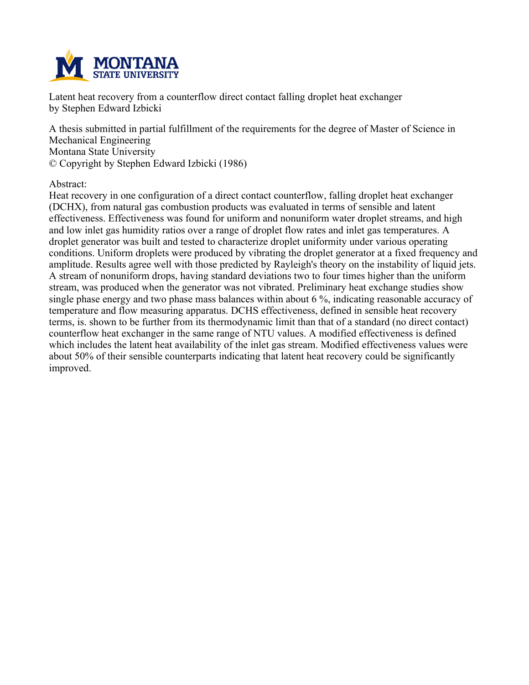

**Latent heat recovery from a counterflow direct contact falling droplet heat exchanger by Stephen Edward Izbicki**

**A thesis submitted in partial fulfillment of the requirements for the degree of Master of Science in Mechanical Engineering Montana State University © Copyright by Stephen Edward Izbicki (1986)**

**Abstract:**

**Heat recovery in one configuration of a direct contact counterflow, falling droplet heat exchanger (DCHX), from natural gas combustion products was evaluated in terms of sensible and latent effectiveness. Effectiveness was found for uniform and nonuniform water droplet streams, and high and low inlet gas humidity ratios over a range of droplet flow rates and inlet gas temperatures. A droplet generator was built and tested to characterize droplet uniformity under various operating conditions. Uniform droplets were produced by vibrating the droplet generator at a fixed frequency and amplitude. Results agree well with those predicted by Rayleigh's theory on the instability of liquid jets. A stream of nonuniform drops, having standard deviations two to four times higher than the uniform stream, was produced when the generator was not vibrated. Preliminary heat exchange studies show single phase energy and two phase mass balances within about 6 %, indicating reasonable accuracy of temperature and flow measuring apparatus. DCHS effectiveness, defined in sensible heat recovery** terms, is, shown to be further from its thermodynamic limit than that of a standard (no direct contact) **counterflow heat exchanger in the same range of NTU values. A modified effectiveness is defined which includes the latent heat availability of the inlet gas stream. Modified effectiveness values were about 50% of their sensible counterparts indicating that latent heat recovery could be significantly improved.**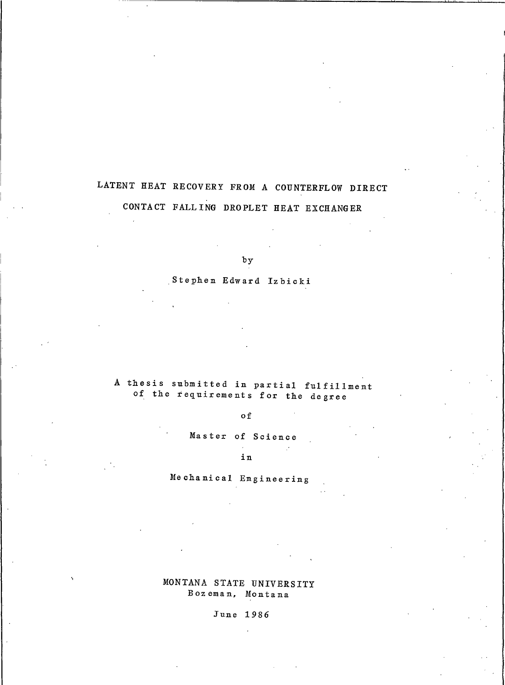# LATENT HEAT RECOVERY FROM A COUNTERFLOW DIRECT

# CONTACT FALLING DROPLET HEAT EXCHANGER

 $by$ 

Stephen Edward Izbicki

A thesis submitted in partial fulfillment of the requirements for the degree

o f

Master of Science  $\mathcal{L}^{\mathcal{L}}$ 

in

 $\sim$   $\omega$ 

Mechanical Engineering

MONTANA STATE UNIVERSITY Bozeman, Montana

June 1986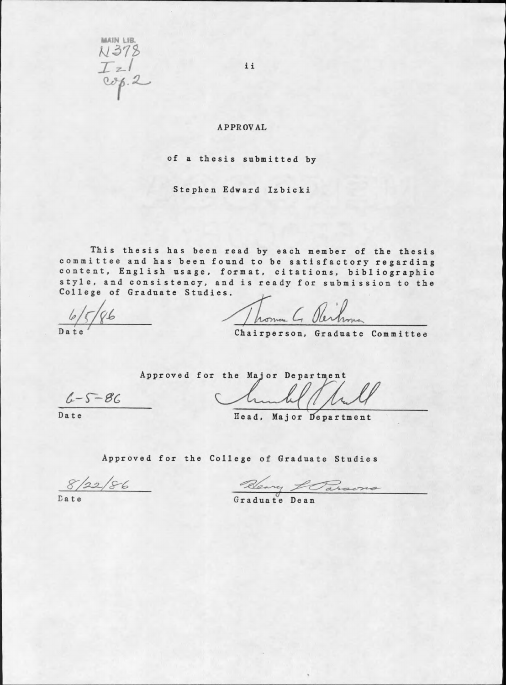MAIN LIB. N378  $T_z/$ 

ii

## **APPROVAL**

of a thesis submitted by

Stephen Edward Izbicki

This thesis has been read by each member of the thesis committee and has been found to be satisfactory regarding content, English usage, format, citations, bibliographic style, and consistency, and is ready for submission to the College of Graduate Studies.

Thomas G Reihman

Chairperson, Graduate Committee

 $6 - 5 - 86$ 

Date

Approved for the Major Department hundel / hel

Head, Major Department

Approved for the College of Graduate Studies

 $8/22/86$ 

Bleavy Larsons

Date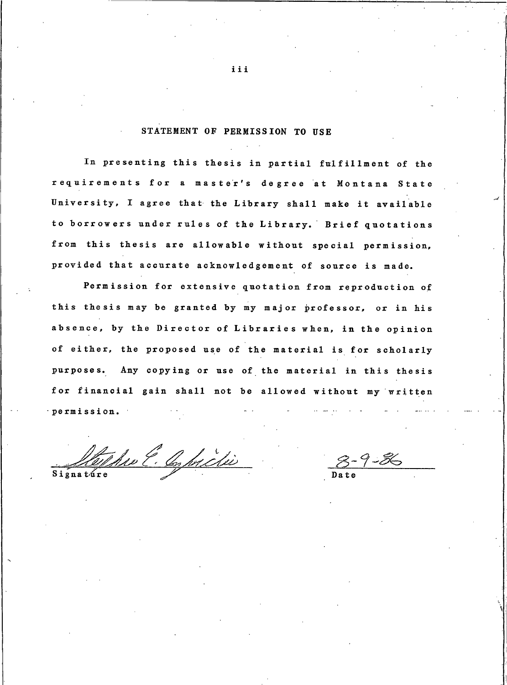# STATEMENT OF PERMISSION TO USE

In presenting this thesis in partial fulfillment of the requirements for a master's degree at Montana State University, I agree that the Library shall make it available to borrowers under rules of the Library. Brief quotations from this thesis are allowable without special permission, provided that accurate acknowledgement of source is made.

Permission for extensive quotation from reproduction of this thesis may be granted by my major professor, or in his absence, by the Director of Libraries when, in the opinion of either, the proposed use of the material is for scholarly purposes. Any copying or use of the material in this thesis for financial gain shall not be allowed without my written permission.

The E. C. protie Signature

 $8 - 9 - 86$ 

iii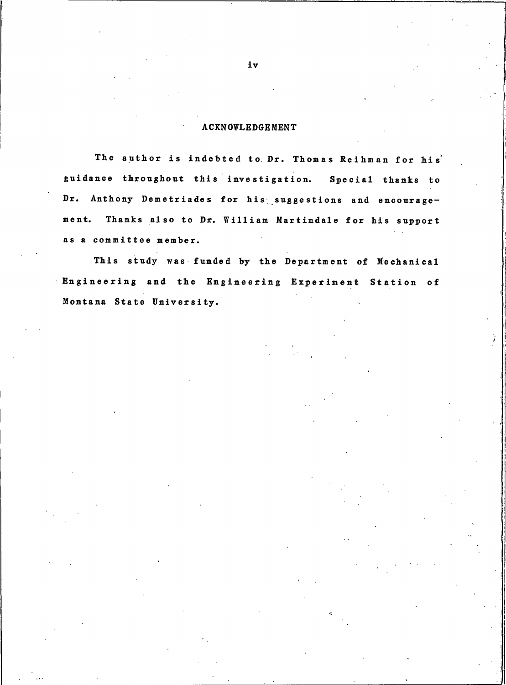# **ACKNOWLEDGEMENT**

The author is indebted to Dr. Thomas Reihman for his guidance throughout this investigation. Special thanks to Dr. Anthony Demetriades for his suggestions and encourage-Thanks also to Dr. William Martindale for his support ment. as a committee member.

This study was funded by the Department of Mechanical Engineering and the Engineering Experiment Station of Montana State University.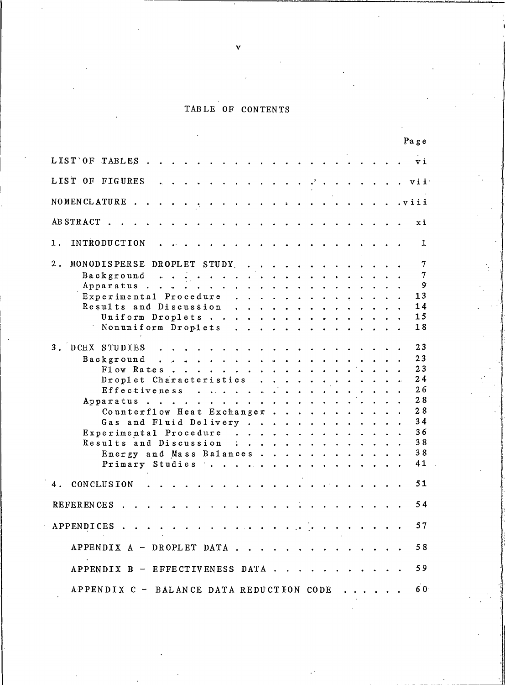## TABLE OF C

|                                                                                                                                                                                                                                                    | Page                |  |
|----------------------------------------------------------------------------------------------------------------------------------------------------------------------------------------------------------------------------------------------------|---------------------|--|
|                                                                                                                                                                                                                                                    |                     |  |
| LIST OF FIGURES                                                                                                                                                                                                                                    |                     |  |
|                                                                                                                                                                                                                                                    |                     |  |
|                                                                                                                                                                                                                                                    |                     |  |
| 1. INTRODUCTION                                                                                                                                                                                                                                    | 1                   |  |
| 2. MONODISPERSE DROPLET STUDY                                                                                                                                                                                                                      | 7                   |  |
|                                                                                                                                                                                                                                                    | $\overline{7}$<br>9 |  |
| Experimental Procedure<br>Results and Discussion                                                                                                                                                                                                   | 13<br>14            |  |
| Uniform Droplets<br>Nonuniform Droplets                                                                                                                                                                                                            | 15<br>18            |  |
| 3. DCHX STUDIES                                                                                                                                                                                                                                    | 23                  |  |
|                                                                                                                                                                                                                                                    | 23<br>23            |  |
| Droplet Characteristics                                                                                                                                                                                                                            | 24                  |  |
| Effectiveness                                                                                                                                                                                                                                      | 26<br>28            |  |
| Counterflow Heat Exchanger                                                                                                                                                                                                                         | 28<br>34            |  |
| Gas and Fluid Delivery<br>Experimental Procedure                                                                                                                                                                                                   | 36                  |  |
| Results and Discussion :<br>Energy and Mass Balances                                                                                                                                                                                               | 38<br>38            |  |
| Primary Studies                                                                                                                                                                                                                                    | $41$ .              |  |
| 4. CONCLUSION<br>$\frac{1}{2}$ . The state of the state of the state of the state of the state of the state of the state of the state of the state of the state of the state of the state of the state of the state of the state of the state of t | 51                  |  |
|                                                                                                                                                                                                                                                    | 54                  |  |
|                                                                                                                                                                                                                                                    | 57                  |  |
| APPENDIX A - DROPLET DATA                                                                                                                                                                                                                          | 58                  |  |
| APPENDIX B - EFFECTIVENESS DATA                                                                                                                                                                                                                    | 59                  |  |
| APPENDIX C - BALANCE DATA REDUCTION CODE                                                                                                                                                                                                           | 60 <sup>-</sup>     |  |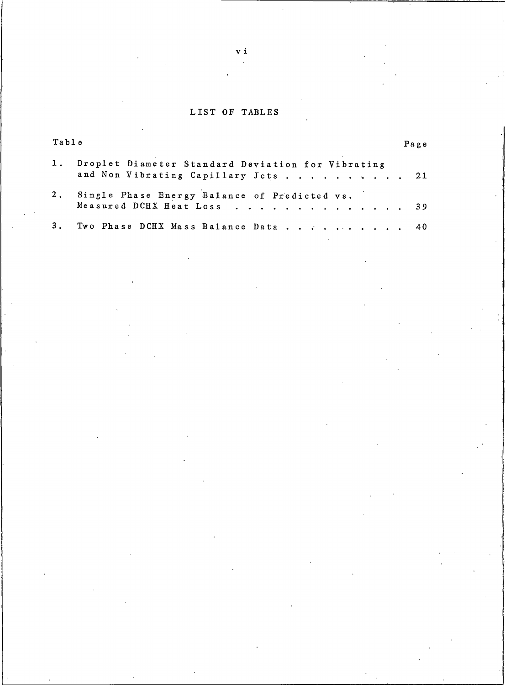#### LIST OF T

| Table |                                                                                          | Page |  |
|-------|------------------------------------------------------------------------------------------|------|--|
| $1$ . | Droplet Diameter Standard Deviation for Vibrating<br>and Non Vibrating Capillary Jets 21 |      |  |
| $2$ . | Single Phase Energy Balance of Predicted vs.<br>Measured DCHX Heat Loss 39               |      |  |
| 3.    | Two Phase DCHX Mass Balance Data 40                                                      |      |  |

 $\mathbf v$  .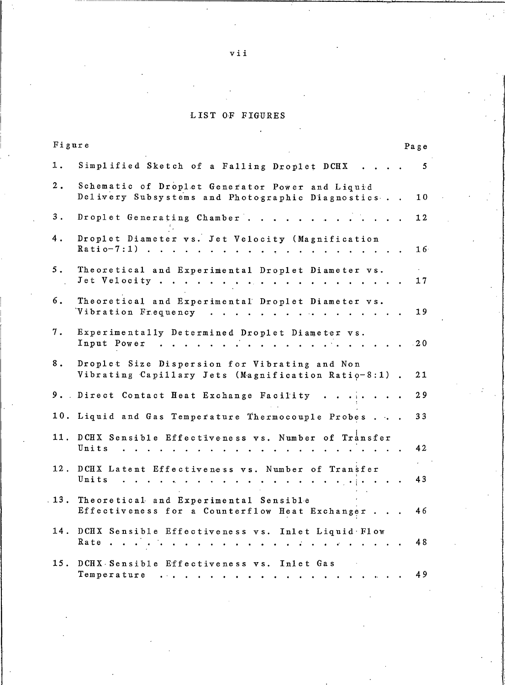# LIST OF FIGURES

| Figure        |                                                                                                       | Page                             |
|---------------|-------------------------------------------------------------------------------------------------------|----------------------------------|
| 1.            | Simplified Sketch of a Falling Droplet DCHX                                                           | 5                                |
| 2.            | Schematic of Droplet Generator Power and Liquid<br>Delivery Subsystems and Photographic Diagnostics   | 10                               |
| $\mathbf 3$ . | Droplet Generating Chamber                                                                            | 12                               |
| 4.            | Droplet Diameter vs. Jet Velocity (Magnification<br>$Ratio-7:1$                                       | 16 <sup>1</sup>                  |
| 5.            | Theoretical and Experimental Droplet Diameter vs.                                                     | $\mathcal{L}^{\text{max}}$<br>17 |
| 6.            | Theoretical and Experimental Droplet Diameter vs.<br>Vibration Frequency                              | 19                               |
| 7.            | Experimentally Determined Droplet Diameter vs.<br>Input Power<br>$\sim$                               | .20                              |
| 8.            | Droplet Size Dispersion for Vibrating and Non<br>Vibrating Capillary Jets (Magnification Ratio-8:1)   | 21                               |
| 9.            | Direct Contact Heat Exchange Facility                                                                 | 29                               |
| 10.           | Liquid and Gas Temperature Thermocouple Probes                                                        | 33                               |
| 11.           | DCHX Sensible Effectiveness vs. Number of Transfer<br>Units<br>$\mathbf{r}$ . The set of $\mathbf{r}$ | 42                               |
| 12.           | DCHX Latent Effectiveness vs. Number of Transfer<br>Units<br>$\ddot{\phantom{a}}$                     | 43                               |
| 13.           | Theoretical and Experimental Sensible<br>Effectiveness for a Counterflow Heat Exchanger               | 46                               |
| 14.           | DCHX Sensible Effectiveness vs. Inlet Liquid Flow<br>Rate.                                            | 48                               |
| 15.           | DCHX Sensible Effectiveness vs. Inlet Gas<br>Temperature                                              | 49                               |

 $v i i$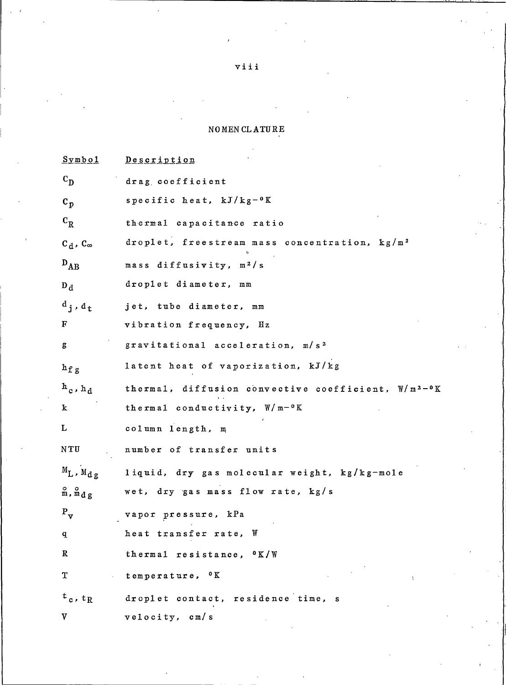# $\texttt{NOMEN}\xspace$  CL  $\texttt{ATU}\xspace\texttt{RE}$

| <u>Symbol</u>                   | <b>Description</b>                                              |
|---------------------------------|-----------------------------------------------------------------|
| $\mathbf{c}_{\mathbf{p}}$       | drag coefficient                                                |
| $\mathbf{c}_{\mathbf{p}}$       | specific heat, $kJ/kg-0K$                                       |
| $\rm c^{}_{\rm R}$              | thermal capacitance ratio                                       |
| $C_d$ , $C_{\infty}$            | droplet, freestream mass concentration, kg/m <sup>3</sup>       |
| $D_{AB}$                        | mass diffusivity, m <sup>2</sup> /s                             |
| $D_d$                           | droplet diameter, mm                                            |
| $\mathbf{d}_i$ , $\mathbf{d}_t$ | jet, tube diameter, mm                                          |
| F                               | vibration frequency, Hz                                         |
| g                               | gravitational acceleration, m/s <sup>2</sup>                    |
| $h_{\text{f g}}$                | latent heat of vaporization, kJ/kg                              |
| $h_c$ , $h_d$                   | thermal, diffusion convective coefficient, W/m <sup>2-0</sup> K |
| k                               | thermal conductivity, W/m-°K                                    |
| L                               | column length, m                                                |
| NTU                             | number of transfer units                                        |
| $M_L$ , $M_{dg}$                | liquid, dry gas molecular weight, kg/kg-mole                    |
| $m, m_d, g$                     | wet, $\frac{dy}{dx}$ gas mass flow rate, $\frac{kg}{s}$         |
| $P_{\rm v}$                     | vapor pressure, kPa                                             |
| q                               | heat transfer rate, W                                           |
| $\mathbf R$                     | thermal resistance, $0 K/W$                                     |
| T<br>y.                         | temperature, <sup>o</sup> K<br>$\Delta$                         |
| $t_c, t_R$                      | droplet contact, residence time, s                              |
| V                               | velocity, cm/s                                                  |

viii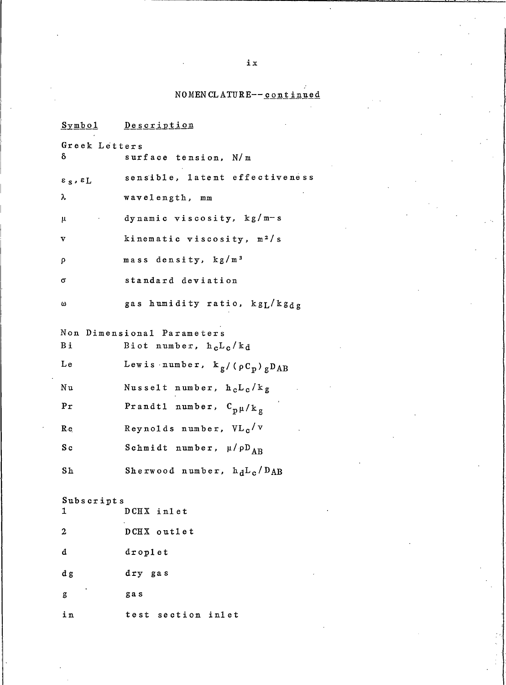# NOMENCLATURE--continued

| Symbol                                 | <u>Description</u>                                |
|----------------------------------------|---------------------------------------------------|
| Greek Letters                          |                                                   |
| δ                                      | surface tension, N/m                              |
| $\varepsilon$ $_{S}$ , $\varepsilon$ L | sensible, latent effectiveness                    |
| λ                                      | wavelength, mm                                    |
| μ                                      | dynamic viscosity, $kg/m-s$                       |
| v                                      | kinematic viscosity, m <sup>2</sup> /s            |
| ρ                                      | mass density, kg/m <sup>3</sup>                   |
| σ                                      | standard deviation                                |
| ω                                      | gas humidity ratio, kgL/kgdg                      |
| Non                                    | Dimensional Parameters                            |
| Вi                                     | Biot number, $h_cL_c/k_d$                         |
| Le                                     | Lewis number, $k_g / ( \rho C_p ) g D_{AB}$       |
| Νu                                     | Nusselt number, h <sub>c</sub> L <sub>c</sub> /kg |
| Pr                                     | Prandtl number, $C_{p\mu}/k_{g}$                  |
| $R_{e}$                                | Reynolds number, $VL_c/v$                         |
| S c                                    | Schmidt number, $\mu / \rho D_{AB}$               |
| S <sub>h</sub>                         | Sherwood number, $h_dL_c/D_{AB}$                  |
| Subscripts                             |                                                   |
| ı                                      | DCHX inlet                                        |
| $\boldsymbol{2}$                       | DCHX outlet                                       |
| d                                      | droplet                                           |
| d g                                    | dry gas                                           |
| g                                      | gas                                               |
| in                                     | test section inlet                                |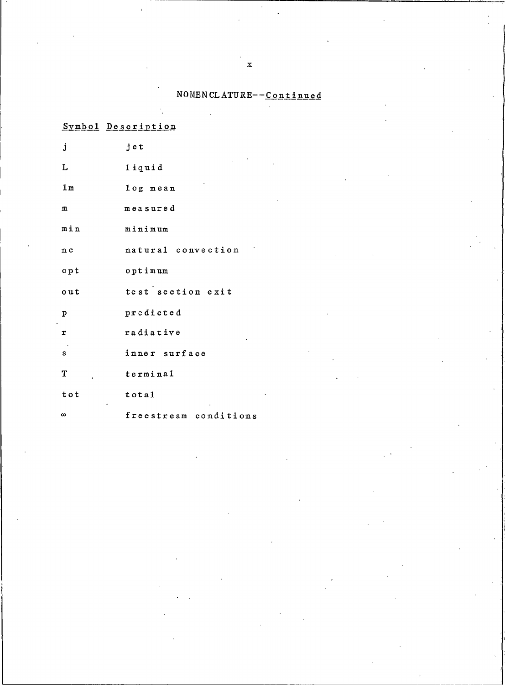NOMENCLATURE--Continued

|                     | Symbol Description    |
|---------------------|-----------------------|
| j                   | jet                   |
| L                   | 1iquid                |
| 1 <sub>m</sub>      | log mean              |
| $\mathbf m$         | measured              |
| min                 | minimum               |
| n c                 | natural convection    |
| $o$ pt              | optimum               |
| out                 | test section exit     |
| $\mathbf{p}$        | predicted             |
| $\pmb{\mathcal{I}}$ | radiative             |
| S                   | inner surface         |
| T                   | terminal              |
| tot                 | total                 |
| $\infty$            | freestream conditions |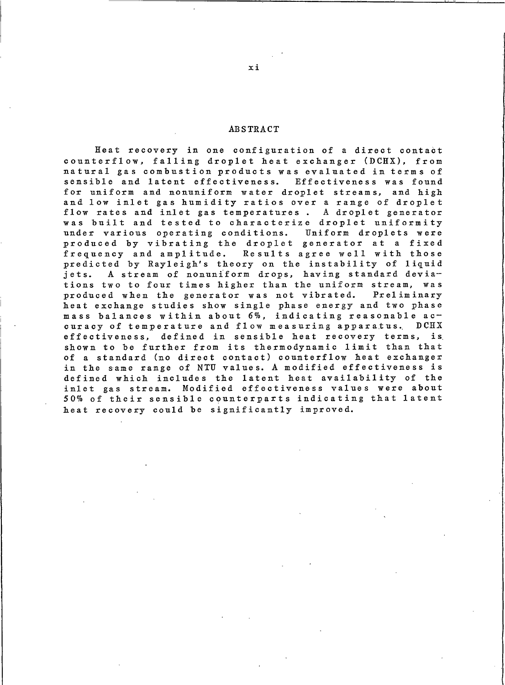#### **ABSTRACT**

Heat recovery in one configuration of a direct contact counterflow, falling droplet heat exchanger (DCHX), from natural gas combustion products was evaluated in terms of sensible and latent effectiveness. Effectiveness was found for uniform and nonuniform water droplet streams, and high and low inlet gas humidity ratios over a range of droplet flow rates and inlet gas temperatures. A droplet generator was built and tested to characterize droplet uniformity under various operating conditions. Uniform droplets were produced by vibrating the droplet generator at a fixed frequency and amplitude. Results agree well with those predicted by Rayleigh's theory on the instability of liquid A stream of nonuniform drops, having standard deviajets. tions two to four times higher than the uniform stream, was produced when the generator was not vibrated. Preliminary heat exchange studies show single phase energy and two phase mass balances within about 6%, indicating reasonable accuracy of temperature and flow measuring apparatus.  $DCHX$ effectiveness, defined in sensible heat recovery terms, is shown to be further from its thermodynamic limit than that of a standard (no direct contact) counterflow heat exchanger in the same range of NTU values. A modified effectiveness is defined which includes the latent heat availability of the inlet gas stream. Modified effectiveness values were about 50% of their sensible counterparts indicating that latent heat recovery could be significantly improved.

xi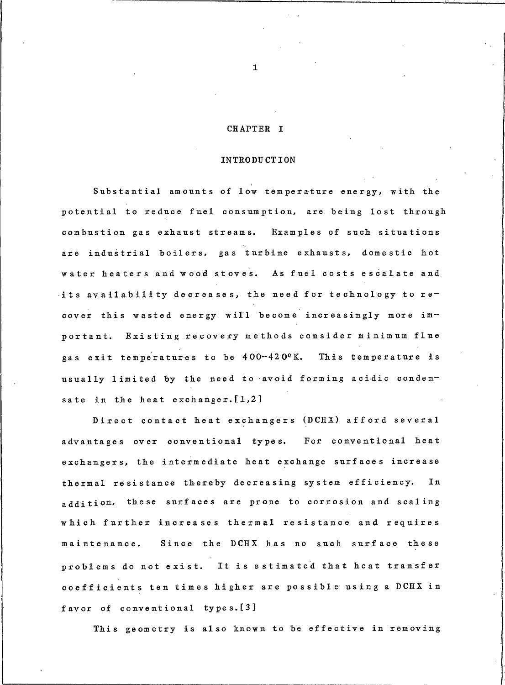## CHAPTER I

#### INTRODUCTION

Substantial amounts of low temperature energy, with the potential to reduce fuel consumption, are being lost through combustion gas exhaust streams. Examples of such situations are industrial boilers, gas turbine exhausts, domestic hot water heaters and wood stoves. As fuel costs escalate and its availability decreases, the need for technology to recover this wasted energy will become increasingly more important. Existing recovery methods consider minimum flue gas exit temperatures to be 400-420°K. This temperature is usually limited by the need to avoid forming acidic condensate in the heat exchanger. [1,2]

Direct contact heat exchangers (DCHX) afford several advantages over conventional types. For conventional heat exchangers, the intermediate heat exchange surfaces increase thermal resistance thereby decreasing system efficiency. In addition, these surfaces are prone to corrosion and scaling which further increases thermal resistance and requires maintenance. Since the DCHX has no such surface these problems do not exist. It is estimated that heat transfer coefficients ten times higher are possible using a DCHX in favor of conventional types. [3]

This geometry is also known to be effective in removing

 $\mathbf{1}$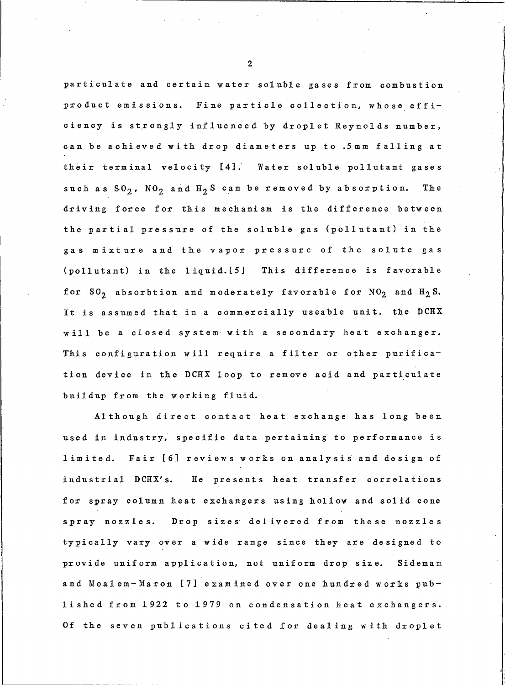particulate and certain water soluble gases from combustion product emissions. Fine particle collection, whose efficiency is strongly influenced by droplet Reynolds number, can be achieved with drop diameters up to .5mm falling at their terminal velocity [4]. Water soluble pollutant gases such as  $SO_2$ ,  $NO_2$  and  $H_2S$  can be removed by absorption. Th e driving force for this mechanism is the difference between the partial pressure of the soluble gas (pollutant) in the gas mixture and the vapor pressure of the solute gas (pollutant) in the liquid. [5] This difference is favorable for  $SO_2$  absorbtion and moderately favorable for  $NO_2$  and  $H_2S$ . It is assumed that in a commercially useable unit, the DCHX will be a closed system with a secondary heat exchanger. This configuration will require a filter or other purification device in the DCHX loop to remove acid and particulate buildup from the working fluid.

Although direct contact heat exchange has long been used in industry, specific data pertaining to performance is limited. Fair [6] reviews works on analysis and design of industrial DCHX's. He presents heat transfer correlations for spray column heat exchangers using hollow and solid cone spray nozzles. Drop sizes delivered from these nozzles typically vary over a wide range since they are designed to provide uniform application, not uniform drop size. Sideman and Moalem-Maron [7] examined over one hundred works published from 1922 to 1979 on condensation heat exchangers. Of the seven publications cited for dealing with droplet

 $\overline{2}$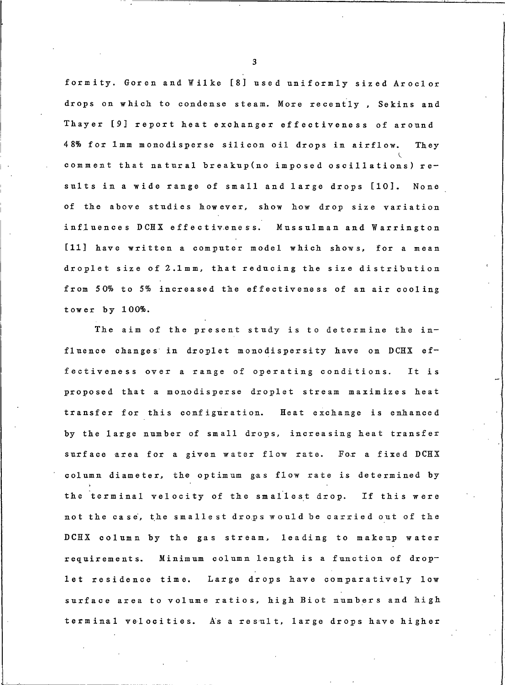formity. Goren and Wilke [8] used uniformly sized Aroclor drops on which to condense steam. More recently, Sekins and Thayer [9] report heat exchanger effectiveness of around 48% for 1mm monodisperse silicon oil drops in airflow. They comment that natural breakup (no imposed oscillations) results in a wide range of small and large drops [10]. None of the above studies however, show how drop size variation influences DCHX effectiveness. Mussulman and Warrington [11] have written a computer model which shows, for a mean droplet size of 2.1mm, that reducing the size distribution from 50% to 5% increased the effectiveness of an air cooling tower by 100%.

The aim of the present study is to determine the influence changes in droplet monodispersity have on DCHX effectiveness over a range of operating conditions. It is proposed that a monodisperse droplet stream maximizes heat transfer for this configuration. Heat exchange is enhanced by the large number of small drops, increasing heat transfer surface area for a given water flow rate. For a fixed DCHX column diameter, the optimum gas flow rate is determined by the terminal velocity of the smallest drop. If this were not the case, the smallest drops would be carried out of the DCHX column by the gas stream, leading to makeup water requirements. Minimum column length is a function of droplet residence time. Large drops have comparatively low surface area to volume ratios, high Biot numbers and high terminal velocities. As a result, large drops have higher

 $\mathbf{3}$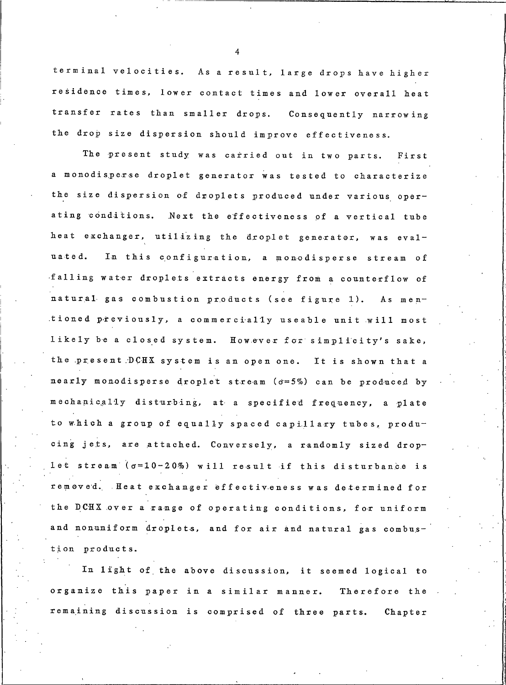terminal velocities. As a result, large drops have higher residence times, lower contact times and lower overall heat transfer rates than smaller drops. Consequently narrowing the drop size dispersion should improve effectiveness.

The present study was carried out in two parts. First a monodisperse droplet generator was tested to characterize the size dispersion of droplets produced under various operating conditions. Next the effectiveness of a vertical tube heat exchanger, utilizing the droplet generator, was eval-In this configuration, a monodisperse stream of uated. falling water droplets extracts energy from a counterflow of natural gas combustion products (see figure 1). As mentioned previously, a commercially useable unit will most likely be a closed system. However for simplicity's sake, the present DCHX system is an open one. It is shown that a nearly monodisperse droplet stream (o=5%) can be produced by mechanically disturbing, at a specified frequency, a plate to which a group of equally spaced capillary tubes, producing jets, are attached. Conversely, a randomly sized droplet stream (o=10-20%) will result if this disturbance is removed. Heat exchanger effectiveness was determined for the DCHX over a range of operating conditions, for uniform and nonuniform droplets, and for air and natural gas combustion products.

In light of the above discussion, it seemed logical to organize this paper in a similar manner. Therefore the remaining discussion is comprised of three parts. Chapter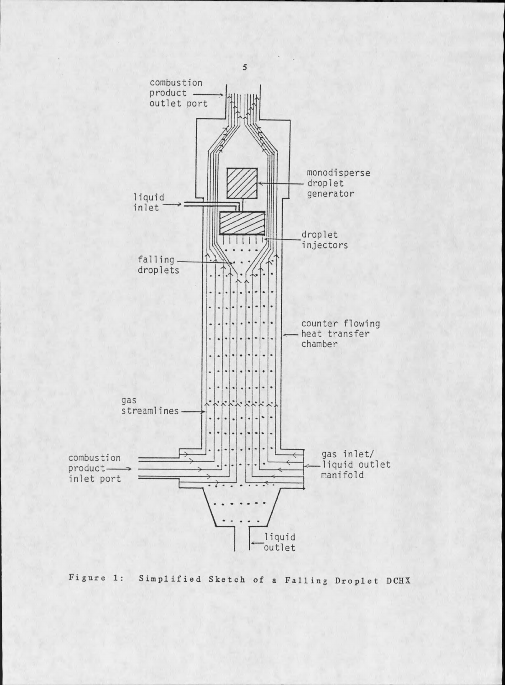

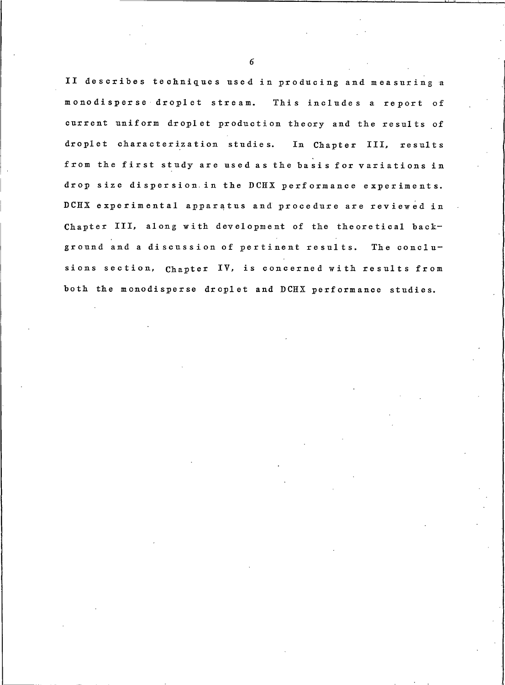II describes techniques used in producing and measuring a monodisperse droplet stream. This includes a report of current uniform droplet production theory and the results of droplet characterization studies. In Chapter III, results from the first study are used as the basis for variations in drop size dispersion in the DCHX performance experiments. DCHX experimental apparatus and procedure are reviewed in Chapter III, along with development of the theoretical background and a discussion of pertinent results. The conclusions section, Chapter IV, is concerned with results from both the monodisperse droplet and DCHX performance studies.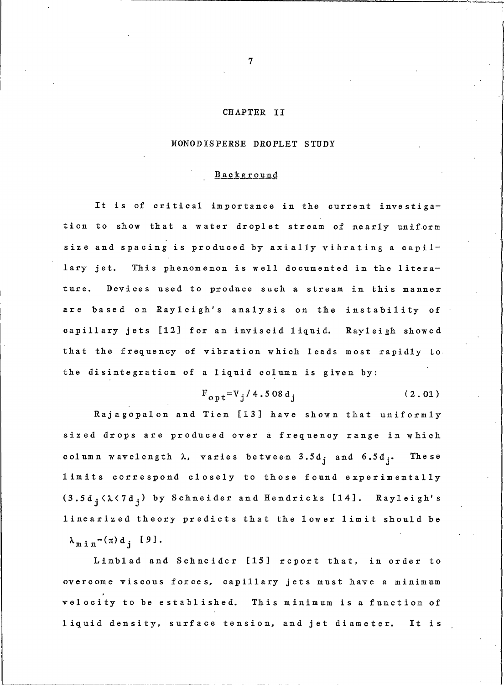## CHAPTER II

### MONODISPERSE DROPLET STUDY

### **Background**

It is of critical importance in the current investigation to show that a water droplet stream of nearly uniform size and spacing is produced by axially vibrating a capillary jet. This phenomenon is well documented in the literature. Devices used to produce such a stream in this manner are based on Rayleigh's analysis on the instability of capillary jets [12] for an inviscid liquid. Rayleigh showed that the frequency of vibration which leads most rapidly to the disintegration of a liquid column is given by:

$$
F_{\text{opt}} = V_{\text{i}} / 4.508 d_{\text{j}}
$$
 (2.01)

Rajagopalon and Tien [13] have shown that uniformly sized drops are produced over a frequency range in which column wavelength  $\lambda$ , varies between 3.5d<sub>j</sub> and  $6.5d_j$ . The se limits correspond closely to those found experimentally  $(3.5d_i<\lambda<7d_i)$  by Schneider and Hendricks [14]. Rayleigh's linearized theory predicts that the lower limit should be  $\lambda_{m i n} = (\pi) d_i$  [9].

Linblad and Schneider [15] report that, in order to overcome viscous forces, capillary jets must have a minimum velocity to be established. This minimum is a function of liquid density, surface tension, and jet diameter. It is

 $\overline{7}$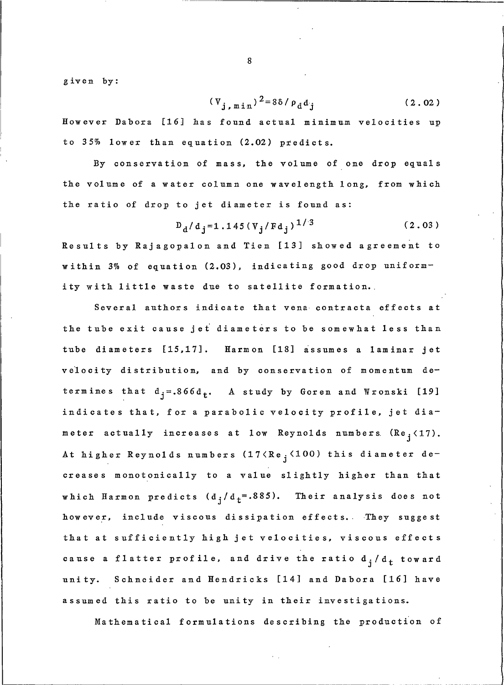given by:

$$
(\mathbf{V}_{j, \text{min}})^2 = 8\delta / \rho_{\text{d}} d_j \tag{2.02}
$$

However Dabora [16] has found actual minimum velocities up to 35% lower than equation (2.02) predicts.

By conservation of mass, the volume of one drop equals the volume of a water column one wavelength long, from which the ratio of drop to jet diameter is found as:

$$
D_{d}/d_{i} = 1.145 (V_{i}/Fd_{i})^{1/3}
$$
 (2.03)

Results by Rajagopalon and Tien [13] showed agreement to within 3% of equation (2.03), indicating good drop uniformity with little waste due to satellite formation.

Several authors indicate that vena contracta effects at the tube exit cause jet diameters to be somewhat less than tube diameters [15,17]. Harmon [18] assumes a laminar jet velocity distribution, and by conservation of momentum determines that  $d_i = .866d_t$ . A study by Goren and Wronski [19] indicates that, for a parabolic velocity profile, jet diameter actually increases at low Reynolds numbers (Re<sub>i</sub><17). At higher Reynolds numbers (17<Re<sub>i</sub> <100) this diameter decreases monotonically to a value slightly higher than that which Harmon predicts  $(d_i/d_t=.885)$ . Their analysis does not however, include viscous dissipation effects. They suggest that at sufficiently high jet velocities, viscous effects cause a flatter profile, and drive the ratio  $d_j/d_t$  toward unity. Schneider and Hendricks [14] and Dabora [16] have assumed this ratio to be unity in their investigations.

Mathematical formulations describing the production of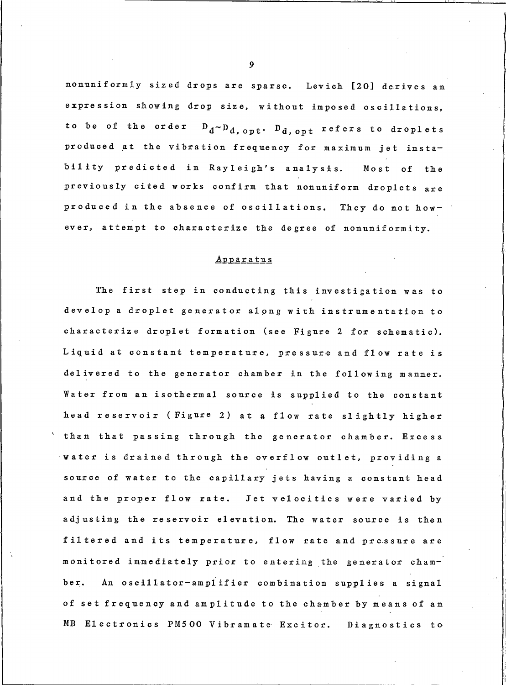nonuniformly sized drops are sparse. Levich [20] derives an expression showing drop size, without imposed oscillations, to be of the order  $D_d \sim D_d$ , opt.  $D_d$ , opt refers to droplets produced at the vibration frequency for maximum jet instability predicted in Rayleigh's analysis. Most of the previously cited works confirm that nonuniform droplets are produced in the absence of oscillations. They do not however, attempt to characterize the degree of nonuniformity.

### **Apparatus**

The first step in conducting this investigation was to develop a droplet generator along with instrumentation to characterize droplet formation (see Figure 2 for schematic). Liquid at constant temperature, pressure and flow rate is delivered to the generator chamber in the following manner. Water from an isothermal source is supplied to the constant head reservoir (Figure 2) at a flow rate slightly higher than that passing through the generator chamber. Excess water is drained through the overflow outlet, providing a source of water to the capillary jets having a constant head and the proper flow rate. Jet velocities were varied by adjusting the reservoir elevation. The water source is then filtered and its temperature, flow rate and pressure are monitored immediately prior to entering the generator chamber. An oscillator-amplifier combination supplies a signal of set frequency and amplitude to the chamber by means of an MB Electronics PM500 Vibramate Excitor. Diagnostics to

 $\boldsymbol{9}$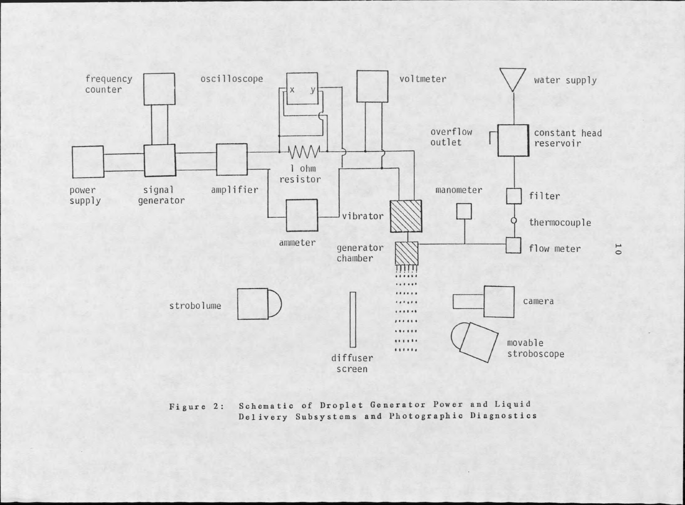

Schematic of Droplet Generator Power and Liquid Figure 2: Delivery Subsystems and Photographic Diagnostics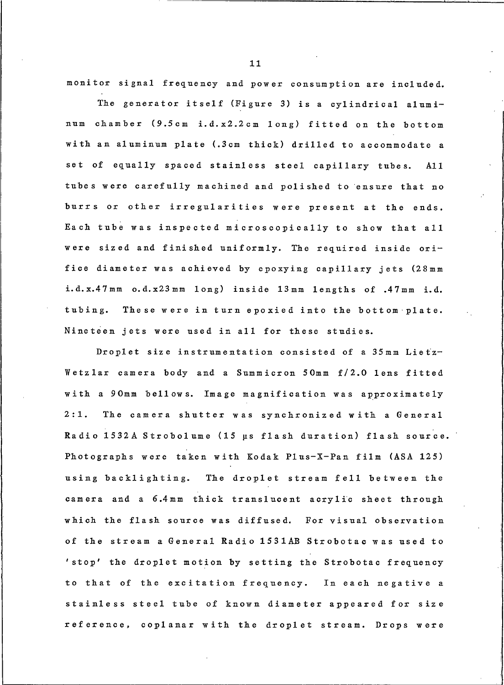monitor signal frequency and power consumption are included.

The generator itself (Figure 3) is a cylindrical aluminum chamber (9.5cm i.d.x2.2cm long) fitted on the bottom with an aluminum plate (.3cm thick) drilled to accommodate a set of equally spaced stainless steel capillary tubes. A11 tubes were carefully machined and polished to ensure that no burrs or other irregularities were present at the ends. Each tube was inspected microscopically to show that all were sized and finished uniformly. The required inside orifice diameter was achieved by epoxying capillary jets (28mm i.d.x.47mm o.d.x23mm long) inside 13mm lengths of .47mm i.d. tubing. These were in turn epoxied into the bottom plate. Nineteen jets were used in all for these studies.

Droplet size instrumentation consisted of a 35mm Lietz-Wetzlar camera body and a Summicron 50mm f/2.0 lens fitted with a 90mm bellows. Image magnification was approximately  $2:1.$ The camera shutter was synchronized with a General Radio 1532A Strobolume (15 µs flash duration) flash source. Photographs were taken with Kodak Plus-X-Pan film (ASA 125) using backlighting. The droplet stream fell between the camera and a 6.4mm thick translucent acrylic sheet through which the flash source was diffused. For visual observation of the stream a General Radio 1531AB Strobotac was used to 'stop' the droplet motion by setting the Strobotac frequency to that of the excitation frequency. In each negative a stainless steel tube of known diameter appeared for size reference, coplanar with the droplet stream. Drops were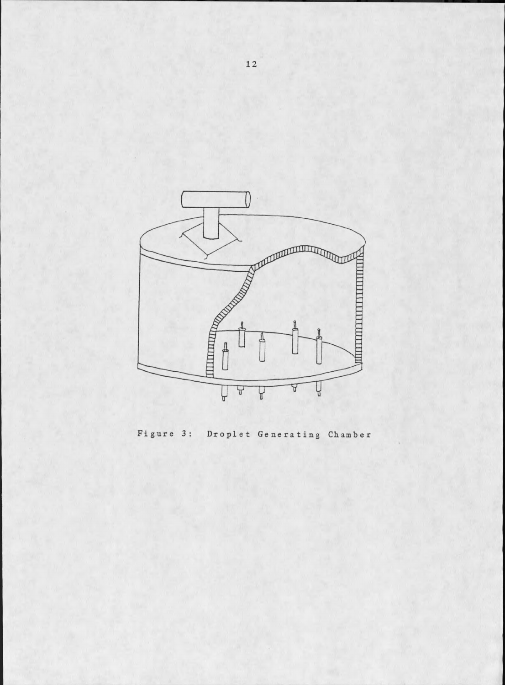

Figure 3: Droplet Generating Chamber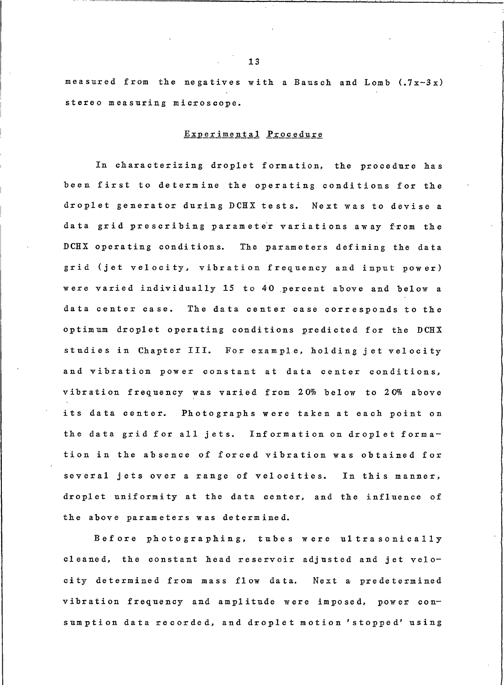measured from the negatives with a Bausch and Lomb  $(.7x-3x)$ stereo measuring microscope.

## Experimental Procedure

In characterizing droplet formation, the procedure has been first to determine the operating conditions for the droplet generator during DCHX tests. Next was to devise a data grid prescribing parameter variations away from the DCHX operating conditions. The parameters defining the data grid (jet velocity, vibration frequency and input power) were varied individually 15 to 40 percent above and below a data center case. The data center case corresponds to the optimum droplet operating conditions predicted for the DCHX studies in Chapter III. For example, holding jet velocity and vibration power constant at data center conditions, vibration frequency was varied from 20% below to 20% above its data center. Photographs were taken at each point on the data grid for all jets. Information on droplet formation in the absence of forced vibration was obtained for several jets over a range of velocities. In this manner, droplet uniformity at the data center, and the influence of the above parameters was determined.

Before photographing, tubes were ultrasonically cleaned, the constant head reservoir adjusted and jet velocity determined from mass flow data. Next a predetermined vibration frequency and amplitude were imposed, power consumption data recorded, and droplet motion 'stopped' using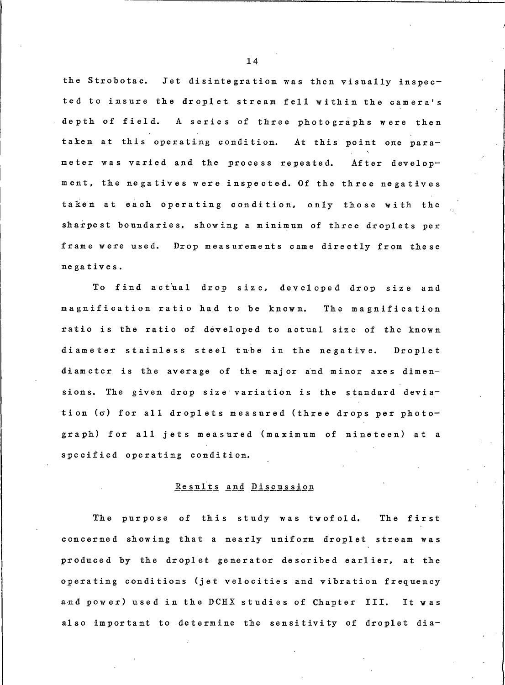the Strobotac. Jet disintegration was then visually inspected to insure the droplet stream fell within the camera's depth of field. A series of three photographs were then taken at this operating condition. At this point one parameter was varied and the process repeated. After development, the negatives were inspected. Of the three negatives taken at each operating condition, only those with the sharpest boundaries, showing a minimum of three droplets per frame were used. Drop measurements came directly from these negatives.

To find actual drop size, developed drop size and magnification ratio had to be known. The magnification ratio is the ratio of developed to actual size of the known diameter stainless steel tube in the negative. Droplet diameter is the average of the major and minor axes dimensions. The given drop size variation is the standard deviation (σ) for all droplets measured (three drops per photograph) for all jets measured (maximum of nineteen) at a specified operating condition.

#### Results and Discussion

The purpose of this study was twofold. The first concerned showing that a nearly uniform droplet stream was produced by the droplet generator described earlier, at the operating conditions (jet velocities and vibration frequency and power) used in the DCHX studies of Chapter III. It was also important to determine the sensitivity of droplet dia-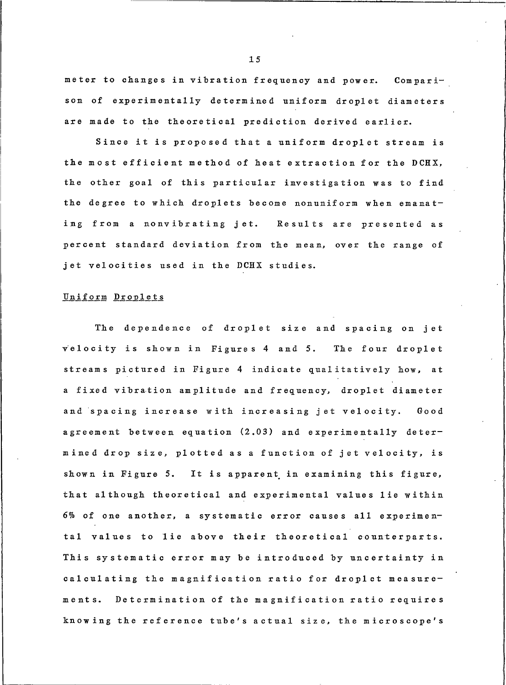meter to changes in vibration frequency and power. Comparison of experimentally determined uniform droplet diameters are made to the theoretical prediction derived earlier.

Since it is proposed that a uniform droplet stream is the most efficient method of heat extraction for the DCHX, the other goal of this particular investigation was to find the degree to which droplets become nonuniform when emanating from a nonvibrating jet. Results are presented as percent standard deviation from the mean, over the range of jet velocities used in the DCHX studies.

#### Uniform Droplets

The dependence of droplet size and spacing on jet velocity is shown in Figures 4 and 5. The four droplet streams pictured in Figure 4 indicate qualitatively how, at a fixed vibration amplitude and frequency, droplet diameter and spacing increase with increasing jet velocity. Good agreement between equation (2.03) and experimentally determined drop size, plotted as a function of jet velocity, is shown in Figure 5. It is apparent in examining this figure, that although theoretical and experimental values lie within 6% of one another, a systematic error causes all experimental values to lie above their theoretical counterparts. This systematic error may be introduced by uncertainty in calculating the magnification ratio for droplet measurements. Determination of the magnification ratio requires knowing the reference tube's actual size, the microscope's